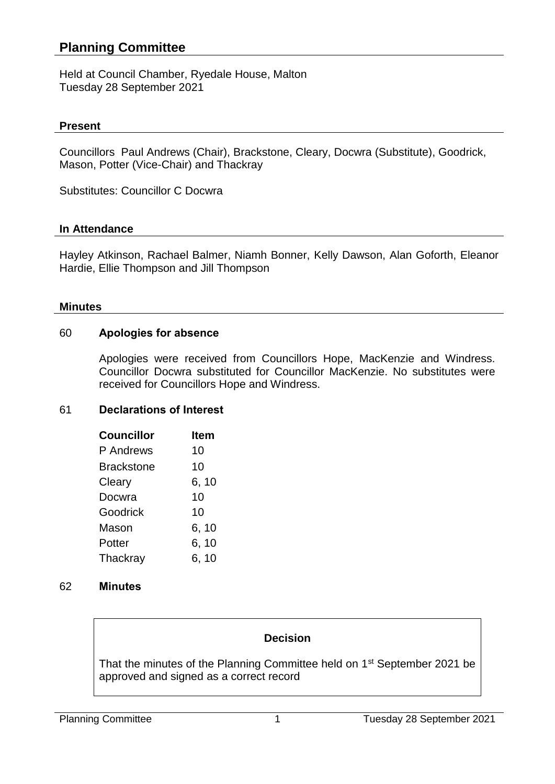# **Planning Committee**

Held at Council Chamber, Ryedale House, Malton Tuesday 28 September 2021

### **Present**

Councillors Paul Andrews (Chair), Brackstone, Cleary, Docwra (Substitute), Goodrick, Mason, Potter (Vice-Chair) and Thackray

Substitutes: Councillor C Docwra

#### **In Attendance**

Hayley Atkinson, Rachael Balmer, Niamh Bonner, Kelly Dawson, Alan Goforth, Eleanor Hardie, Ellie Thompson and Jill Thompson

#### **Minutes**

#### 60 **Apologies for absence**

Apologies were received from Councillors Hope, MacKenzie and Windress. Councillor Docwra substituted for Councillor MacKenzie. No substitutes were received for Councillors Hope and Windress.

## 61 **Declarations of Interest**

| <b>Councillor</b> | ltem  |
|-------------------|-------|
| P Andrews         | 10    |
| <b>Brackstone</b> | 10    |
| Cleary            | 6, 10 |
| Docwra            | 10    |
| Goodrick          | 10    |
| Mason             | 6, 10 |
| Potter            | 6, 10 |
| Thackray          | 6, 10 |

#### 62 **Minutes**

## **Decision**

That the minutes of the Planning Committee held on 1<sup>st</sup> September 2021 be approved and signed as a correct record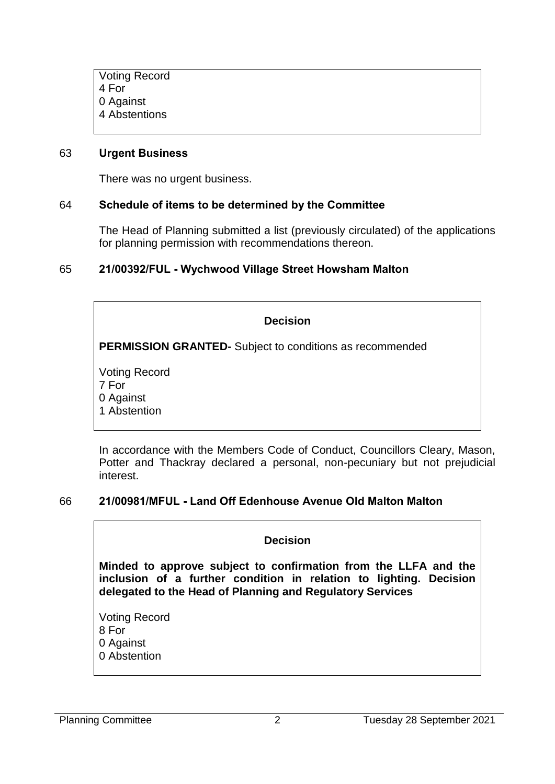Voting Record 4 For 0 Against 4 Abstentions

#### 63 **Urgent Business**

There was no urgent business.

#### 64 **Schedule of items to be determined by the Committee**

The Head of Planning submitted a list (previously circulated) of the applications for planning permission with recommendations thereon.

#### 65 **21/00392/FUL - Wychwood Village Street Howsham Malton**

#### **Decision**

**PERMISSION GRANTED-** Subject to conditions as recommended

Voting Record 7 For 0 Against 1 Abstention

In accordance with the Members Code of Conduct, Councillors Cleary, Mason, Potter and Thackray declared a personal, non-pecuniary but not prejudicial interest.

#### 66 **21/00981/MFUL - Land Off Edenhouse Avenue Old Malton Malton**

#### **Decision**

**Minded to approve subject to confirmation from the LLFA and the inclusion of a further condition in relation to lighting. Decision delegated to the Head of Planning and Regulatory Services**

Voting Record 8 For 0 Against 0 Abstention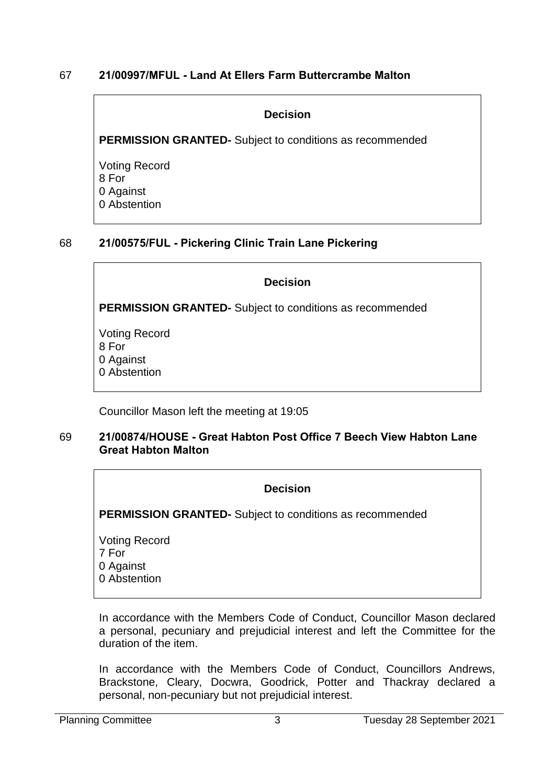## 67 **21/00997/MFUL - Land At Ellers Farm Buttercrambe Malton**

### **Decision**

**PERMISSION GRANTED-** Subject to conditions as recommended

Voting Record 8 For 0 Against 0 Abstention

# 68 **21/00575/FUL - Pickering Clinic Train Lane Pickering**

## **Decision**

**PERMISSION GRANTED-** Subject to conditions as recommended

Voting Record 8 For 0 Against 0 Abstention

Councillor Mason left the meeting at 19:05

#### 69 **21/00874/HOUSE - Great Habton Post Office 7 Beech View Habton Lane Great Habton Malton**

| <b>Decision</b>                                                 |  |
|-----------------------------------------------------------------|--|
| <b>PERMISSION GRANTED-</b> Subject to conditions as recommended |  |
| <b>Voting Record</b><br>7 For<br>0 Against<br>0 Abstention      |  |

In accordance with the Members Code of Conduct, Councillor Mason declared a personal, pecuniary and prejudicial interest and left the Committee for the duration of the item.

In accordance with the Members Code of Conduct, Councillors Andrews, Brackstone, Cleary, Docwra, Goodrick, Potter and Thackray declared a personal, non-pecuniary but not prejudicial interest.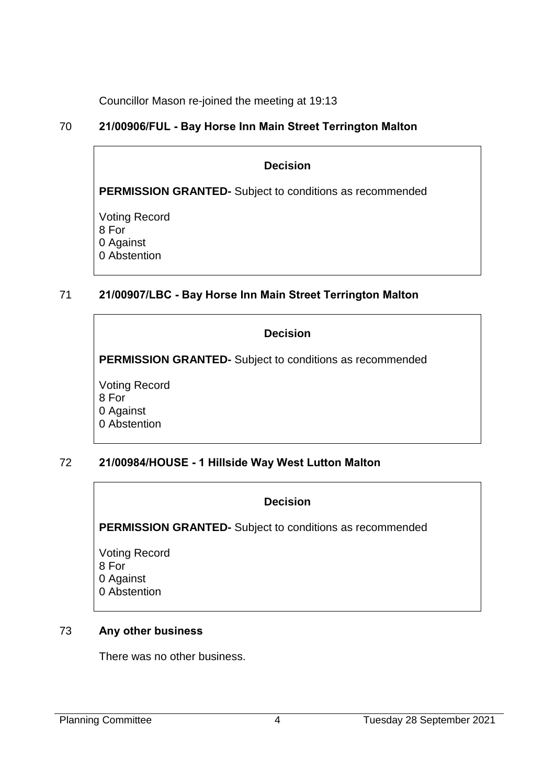Councillor Mason re-joined the meeting at 19:13

# 70 **21/00906/FUL - Bay Horse Inn Main Street Terrington Malton**

#### **Decision**

**PERMISSION GRANTED-** Subject to conditions as recommended

Voting Record 8 For 0 Against 0 Abstention

# 71 **21/00907/LBC - Bay Horse Inn Main Street Terrington Malton**

## **Decision**

**PERMISSION GRANTED-** Subject to conditions as recommended

Voting Record 8 For 0 Against 0 Abstention

# 72 **21/00984/HOUSE - 1 Hillside Way West Lutton Malton**

## **Decision**

**PERMISSION GRANTED-** Subject to conditions as recommended

Voting Record 8 For 0 Against 0 Abstention

## 73 **Any other business**

There was no other business.